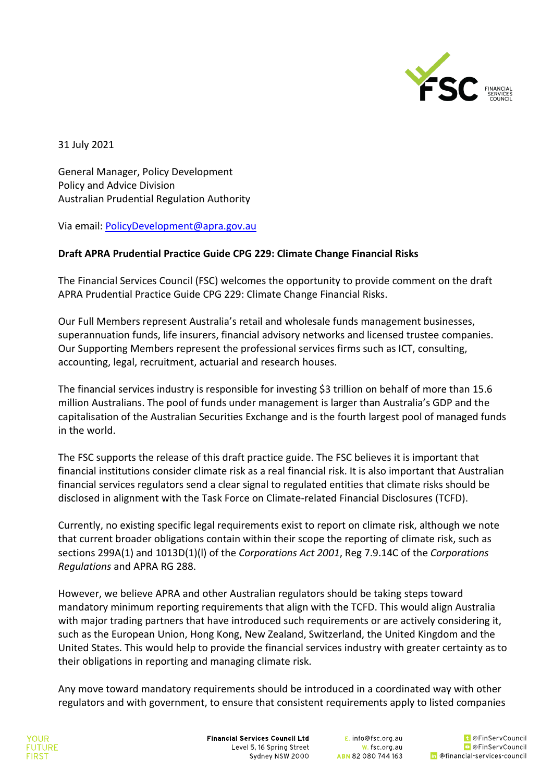

31 July 2021

General Manager, Policy Development Policy and Advice Division Australian Prudential Regulation Authority

Via email: PolicyDevelopment@apra.gov.au

## **Draft APRA Prudential Practice Guide CPG 229: Climate Change Financial Risks**

The Financial Services Council (FSC) welcomes the opportunity to provide comment on the draft APRA Prudential Practice Guide CPG 229: Climate Change Financial Risks.

Our Full Members represent Australia's retail and wholesale funds management businesses, superannuation funds, life insurers, financial advisory networks and licensed trustee companies. Our Supporting Members represent the professional services firms such as ICT, consulting, accounting, legal, recruitment, actuarial and research houses.

The financial services industry is responsible for investing \$3 trillion on behalf of more than 15.6 million Australians. The pool of funds under management is larger than Australia's GDP and the capitalisation of the Australian Securities Exchange and is the fourth largest pool of managed funds in the world.

The FSC supports the release of this draft practice guide. The FSC believes it is important that financial institutions consider climate risk as a real financial risk. It is also important that Australian financial services regulators send a clear signal to regulated entities that climate risks should be disclosed in alignment with the Task Force on Climate-related Financial Disclosures (TCFD).

Currently, no existing specific legal requirements exist to report on climate risk, although we note that current broader obligations contain within their scope the reporting of climate risk, such as sections 299A(1) and 1013D(1)(l) of the *Corporations Act 2001*, Reg 7.9.14C of the *Corporations Regulations* and APRA RG 288.

However, we believe APRA and other Australian regulators should be taking steps toward mandatory minimum reporting requirements that align with the TCFD. This would align Australia with major trading partners that have introduced such requirements or are actively considering it, such as the European Union, Hong Kong, New Zealand, Switzerland, the United Kingdom and the United States. This would help to provide the financial services industry with greater certainty as to their obligations in reporting and managing climate risk.

Any move toward mandatory requirements should be introduced in a coordinated way with other regulators and with government, to ensure that consistent requirements apply to listed companies

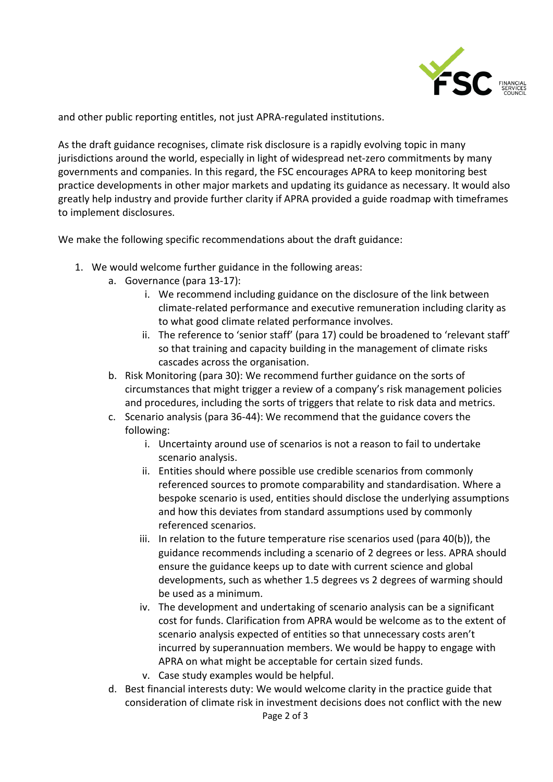

and other public reporting entitles, not just APRA-regulated institutions.

As the draft guidance recognises, climate risk disclosure is a rapidly evolving topic in many jurisdictions around the world, especially in light of widespread net-zero commitments by many governments and companies. In this regard, the FSC encourages APRA to keep monitoring best practice developments in other major markets and updating its guidance as necessary. It would also greatly help industry and provide further clarity if APRA provided a guide roadmap with timeframes to implement disclosures.

We make the following specific recommendations about the draft guidance:

- 1. We would welcome further guidance in the following areas:
	- a. Governance (para 13-17):
		- i. We recommend including guidance on the disclosure of the link between climate-related performance and executive remuneration including clarity as to what good climate related performance involves.
		- ii. The reference to 'senior staff' (para 17) could be broadened to 'relevant staff' so that training and capacity building in the management of climate risks cascades across the organisation.
	- b. Risk Monitoring (para 30): We recommend further guidance on the sorts of circumstances that might trigger a review of a company's risk management policies and procedures, including the sorts of triggers that relate to risk data and metrics.
	- c. Scenario analysis (para 36-44): We recommend that the guidance covers the following:
		- i. Uncertainty around use of scenarios is not a reason to fail to undertake scenario analysis.
		- ii. Entities should where possible use credible scenarios from commonly referenced sources to promote comparability and standardisation. Where a bespoke scenario is used, entities should disclose the underlying assumptions and how this deviates from standard assumptions used by commonly referenced scenarios.
		- iii. In relation to the future temperature rise scenarios used (para 40(b)), the guidance recommends including a scenario of 2 degrees or less. APRA should ensure the guidance keeps up to date with current science and global developments, such as whether 1.5 degrees vs 2 degrees of warming should be used as a minimum.
		- iv. The development and undertaking of scenario analysis can be a significant cost for funds. Clarification from APRA would be welcome as to the extent of scenario analysis expected of entities so that unnecessary costs aren't incurred by superannuation members. We would be happy to engage with APRA on what might be acceptable for certain sized funds.
		- v. Case study examples would be helpful.
	- d. Best financial interests duty: We would welcome clarity in the practice guide that consideration of climate risk in investment decisions does not conflict with the new